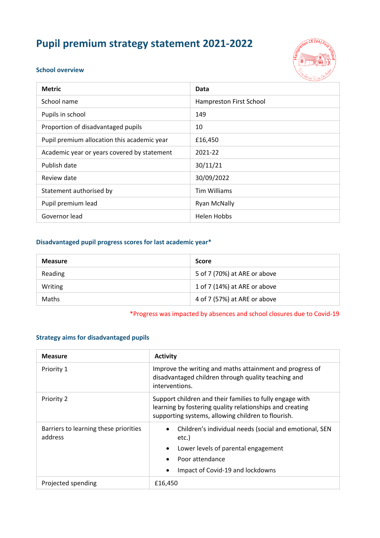# **Pupil premium strategy statement 2021-2022**



#### **School overview**

| <b>Metric</b>                               | Data                    |
|---------------------------------------------|-------------------------|
| School name                                 | Hampreston First School |
| Pupils in school                            | 149                     |
| Proportion of disadvantaged pupils          | 10                      |
| Pupil premium allocation this academic year | £16,450                 |
| Academic year or years covered by statement | 2021-22                 |
| Publish date                                | 30/11/21                |
| Review date                                 | 30/09/2022              |
| Statement authorised by                     | <b>Tim Williams</b>     |
| Pupil premium lead                          | <b>Ryan McNally</b>     |
| Governor lead                               | Helen Hobbs             |

### **Disadvantaged pupil progress scores for last academic year\***

| <b>Measure</b> | <b>Score</b>                 |
|----------------|------------------------------|
| Reading        | 5 of 7 (70%) at ARE or above |
| Writing        | 1 of 7 (14%) at ARE or above |
| Maths          | 4 of 7 (57%) at ARE or above |

\*Progress was impacted by absences and school closures due to Covid-19

#### **Strategy aims for disadvantaged pupils**

| <b>Measure</b>                                   | <b>Activity</b>                                                                                                                                                            |
|--------------------------------------------------|----------------------------------------------------------------------------------------------------------------------------------------------------------------------------|
| Priority 1                                       | Improve the writing and maths attainment and progress of<br>disadvantaged children through quality teaching and<br>interventions.                                          |
| Priority 2                                       | Support children and their families to fully engage with<br>learning by fostering quality relationships and creating<br>supporting systems, allowing children to flourish. |
| Barriers to learning these priorities<br>address | Children's individual needs (social and emotional, SEN<br>etc.)<br>Lower levels of parental engagement<br>$\bullet$<br>Poor attendance<br>Impact of Covid-19 and lockdowns |
| Projected spending                               | £16,450                                                                                                                                                                    |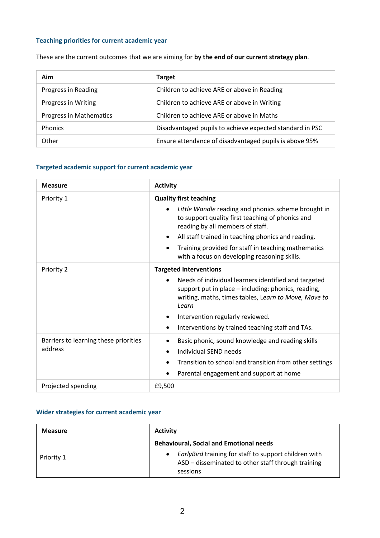# **Teaching priorities for current academic year**

These are the current outcomes that we are aiming for **by the end of our current strategy plan**.

| Aim                     | <b>Target</b>                                            |
|-------------------------|----------------------------------------------------------|
| Progress in Reading     | Children to achieve ARE or above in Reading              |
| Progress in Writing     | Children to achieve ARE or above in Writing              |
| Progress in Mathematics | Children to achieve ARE or above in Maths                |
| <b>Phonics</b>          | Disadvantaged pupils to achieve expected standard in PSC |
| Other                   | Ensure attendance of disadvantaged pupils is above 95%   |

# **Targeted academic support for current academic year**

| <b>Measure</b>                                   | <b>Activity</b>                                                                                                                                                                                                                                                                                                                                                     |
|--------------------------------------------------|---------------------------------------------------------------------------------------------------------------------------------------------------------------------------------------------------------------------------------------------------------------------------------------------------------------------------------------------------------------------|
| Priority 1                                       | <b>Quality first teaching</b><br>Little Wandle reading and phonics scheme brought in<br>to support quality first teaching of phonics and<br>reading by all members of staff.<br>All staff trained in teaching phonics and reading.<br>$\bullet$<br>Training provided for staff in teaching mathematics<br>$\bullet$<br>with a focus on developing reasoning skills. |
| Priority 2                                       | <b>Targeted interventions</b><br>Needs of individual learners identified and targeted<br>support put in place - including: phonics, reading,<br>writing, maths, times tables, Learn to Move, Move to<br>Learn<br>Intervention regularly reviewed.<br>Interventions by trained teaching staff and TAs.<br>$\bullet$                                                  |
| Barriers to learning these priorities<br>address | Basic phonic, sound knowledge and reading skills<br><b>Individual SEND needs</b><br>$\bullet$<br>Transition to school and transition from other settings<br>٠<br>Parental engagement and support at home<br>٠                                                                                                                                                       |
| Projected spending                               | £9,500                                                                                                                                                                                                                                                                                                                                                              |

# **Wider strategies for current academic year**

| <b>Measure</b> | <b>Activity</b>                                                                                                         |
|----------------|-------------------------------------------------------------------------------------------------------------------------|
|                | <b>Behavioural, Social and Emotional needs</b>                                                                          |
| Priority 1     | EarlyBird training for staff to support children with<br>ASD - disseminated to other staff through training<br>sessions |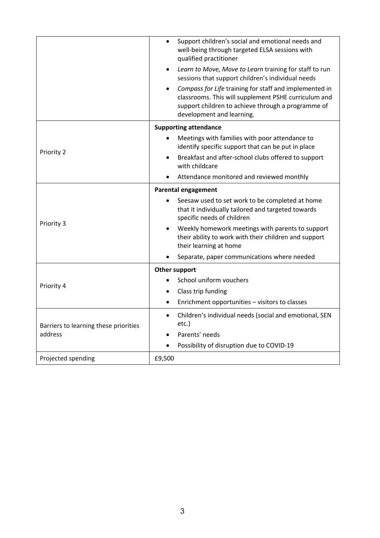|                                                  | Support children's social and emotional needs and<br>$\bullet$<br>well-being through targeted ELSA sessions with<br>qualified practitioner                                                        |
|--------------------------------------------------|---------------------------------------------------------------------------------------------------------------------------------------------------------------------------------------------------|
|                                                  | Learn to Move, Move to Learn training for staff to run<br>sessions that support children's individual needs                                                                                       |
|                                                  | Compass for Life training for staff and implemented in<br>classrooms. This will supplement PSHE curriculum and<br>support children to achieve through a programme of<br>development and learning. |
|                                                  | <b>Supporting attendance</b>                                                                                                                                                                      |
| Priority 2                                       | Meetings with families with poor attendance to<br>identify specific support that can be put in place                                                                                              |
|                                                  | Breakfast and after-school clubs offered to support<br>with childcare                                                                                                                             |
|                                                  | Attendance monitored and reviewed monthly                                                                                                                                                         |
| <b>Parental engagement</b>                       |                                                                                                                                                                                                   |
| Priority 3                                       | Seesaw used to set work to be completed at home<br>that it individually tailored and targeted towards<br>specific needs of children                                                               |
|                                                  | Weekly homework meetings with parents to support<br>their ability to work with their children and support<br>their learning at home                                                               |
|                                                  | Separate, paper communications where needed                                                                                                                                                       |
|                                                  | <b>Other support</b>                                                                                                                                                                              |
| Priority 4                                       | School uniform vouchers                                                                                                                                                                           |
|                                                  | Class trip funding                                                                                                                                                                                |
|                                                  | Enrichment opportunities - visitors to classes<br>$\bullet$                                                                                                                                       |
| Barriers to learning these priorities<br>address | Children's individual needs (social and emotional, SEN<br>$\bullet$<br>etc.)                                                                                                                      |
|                                                  | Parents' needs                                                                                                                                                                                    |
|                                                  | Possibility of disruption due to COVID-19<br>$\bullet$                                                                                                                                            |
| Projected spending                               | £9,500                                                                                                                                                                                            |